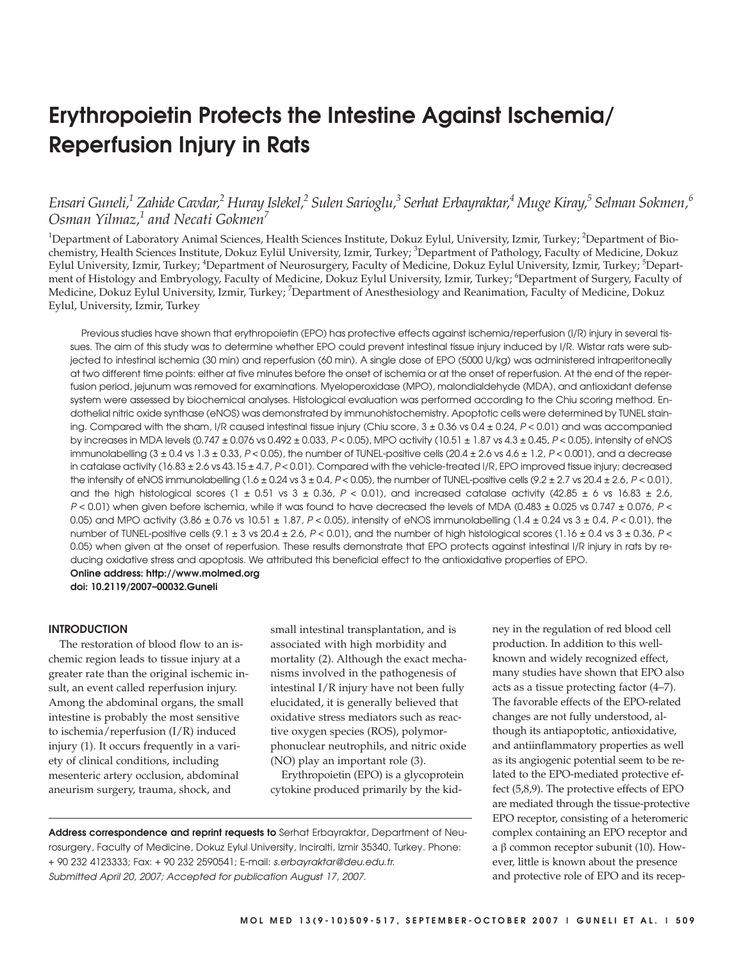# **Erythropoietin Protects the Intestine Against Ischemia/ Reperfusion Injury in Rats**

# *Ensari Guneli,1 Zahide Cavdar,2 Huray Islekel,2 Sulen Sarioglu,3 Serhat Erbayraktar,4 Muge Kiray,5 Selman Sokmen,6 Osman Yilmaz,1 and Necati Gokmen7*

 $^1$ Department of Laboratory Animal Sciences, Health Sciences Institute, Dokuz Eylul, University, Izmir, Turkey;  $^2$ Department of Biochemistry, Health Sciences Institute, Dokuz Eylül University, Izmir, Turkey; <sup>3</sup>Department of Pathology, Faculty of Medicine, Dokuz Eylul University, Izmir, Turkey; <sup>4</sup>Department of Neurosurgery, Faculty of Medicine, Dokuz Eylul University, Izmir, Turkey; <sup>5</sup>Department of Histology and Embryology, Faculty of Medicine, Dokuz Eylul University, Izmir, Turkey, <sup>6</sup>Department of Surgery, Faculty of Medicine, Dokuz Eylul University, Izmir, Turkey; <sup>7</sup>Department of Anesthesiology and Reanimation, Faculty of Medicine, Dokuz Eylul, University, Izmir, Turkey

Previous studies have shown that erythropoietin (EPO) has protective effects against ischemia/reperfusion (I/R) injury in several tissues. The aim of this study was to determine whether EPO could prevent intestinal tissue injury induced by I/R. Wistar rats were subjected to intestinal ischemia (30 min) and reperfusion (60 min). A single dose of EPO (5000 U/kg) was administered intraperitoneally at two different time points: either at five minutes before the onset of ischemia or at the onset of reperfusion. At the end of the reperfusion period, jejunum was removed for examinations. Myeloperoxidase (MPO), malondialdehyde (MDA), and antioxidant defense system were assessed by biochemical analyses. Histological evaluation was performed according to the Chiu scoring method. Endothelial nitric oxide synthase (eNOS) was demonstrated by immunohistochemistry. Apoptotic cells were determined by TUNEL staining. Compared with the sham, I/R caused intestinal tissue injury (Chiu score,  $3 \pm 0.36$  vs  $0.4 \pm 0.24$ ,  $P < 0.01$ ) and was accompanied by increases in MDA levels (0.747 ± 0.076 vs 0.492 ± 0.033, P < 0.05), MPO activity (10.51 ± 1.87 vs 4.3 ± 0.45, P < 0.05), intensity of eNOS immunolabelling  $(3 \pm 0.4$  vs  $1.3 \pm 0.33$ ,  $P < 0.05$ ), the number of TUNEL-positive cells  $(20.4 \pm 2.6$  vs  $4.6 \pm 1.2$ ,  $P < 0.001$ ), and a decrease in catalase activity (16.83  $\pm$  2.6 vs 43.15  $\pm$  4.7, P < 0.01). Compared with the vehicle-treated I/R, EPO improved tissue injury; decreased the intensity of eNOS immunolabelling  $(1.6 \pm 0.24 \text{ vs } 3 \pm 0.4, P < 0.05)$ , the number of TUNEL-positive cells  $(9.2 \pm 2.7 \text{ vs } 20.4 \pm 2.6, P < 0.01)$ , and the high histological scores (1  $\pm$  0.51 vs 3  $\pm$  0.36, P < 0.01), and increased catalase activity (42.85  $\pm$  6 vs 16.83  $\pm$  2.6, P < 0.01) when given before ischemia, while it was found to have decreased the levels of MDA (0.483 ± 0.025 vs 0.747 ± 0.076, P < 0.05) and MPO activity (3.86  $\pm$  0.76 vs 10.51  $\pm$  1.87, P < 0.05), intensity of eNOS immunolabelling (1.4  $\pm$  0.24 vs 3  $\pm$  0.4, P < 0.01), the number of TUNEL-positive cells (9.1  $\pm$  3 vs 20.4  $\pm$  2.6, P < 0.01), and the number of high histological scores (1.16  $\pm$  0.4 vs 3  $\pm$  0.36, P < 0.05) when given at the onset of reperfusion. These results demonstrate that EPO protects against intestinal I/R injury in rats by reducing oxidative stress and apoptosis. We attributed this beneficial effect to the antioxidative properties of EPO. **Online address: http://www.molmed.org**

**doi: 10.2119/2007–00032.Guneli**

#### **INTRODUCTION**

The restoration of blood flow to an ischemic region leads to tissue injury at a greater rate than the original ischemic insult, an event called reperfusion injury. Among the abdominal organs, the small intestine is probably the most sensitive to ischemia/reperfusion (I/R) induced injury (1). It occurs frequently in a variety of clinical conditions, including mesenteric artery occlusion, abdominal aneurism surgery, trauma, shock, and

small intestinal transplantation, and is associated with high morbidity and mortality (2). Although the exact mechanisms involved in the pathogenesis of intestinal I/R injury have not been fully elucidated, it is generally believed that oxidative stress mediators such as reactive oxygen species (ROS), polymorphonuclear neutrophils, and nitric oxide (NO) play an important role (3).

Erythropoietin (EPO) is a glycoprotein cytokine produced primarily by the kid-

**Address correspondence and reprint requests to** Serhat Erbayraktar, Department of Neurosurgery, Faculty of Medicine, Dokuz Eylul University, Inciralti, Izmir 35340, Turkey. Phone: + 90 232 4123333; Fax: + 90 232 2590541; E-mail: s.erbayraktar@deu.edu.tr. Submitted April 20, 2007; Accepted for publication August 17, 2007.

ney in the regulation of red blood cell production. In addition to this wellknown and widely recognized effect, many studies have shown that EPO also acts as a tissue protecting factor (4–7). The favorable effects of the EPO-related changes are not fully understood, although its antiapoptotic, antioxidative, and antiinflammatory properties as well as its angiogenic potential seem to be related to the EPO-mediated protective effect (5,8,9). The protective effects of EPO are mediated through the tissue-protective EPO receptor, consisting of a heteromeric complex containing an EPO receptor and a β common receptor subunit (10). However, little is known about the presence and protective role of EPO and its recep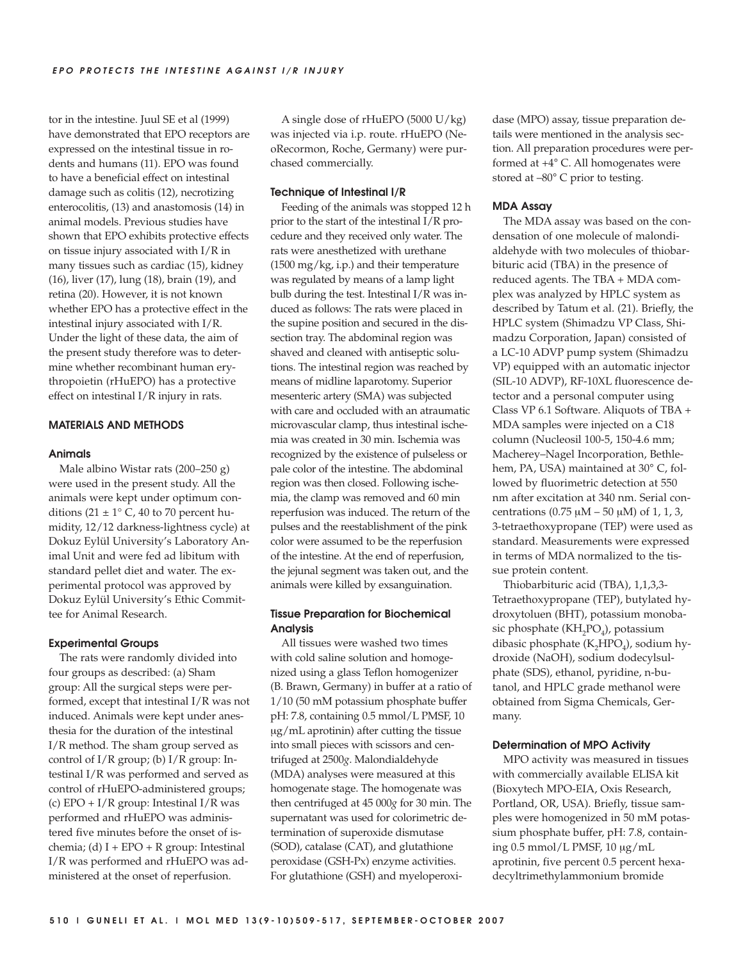tor in the intestine. Juul SE et al (1999) have demonstrated that EPO receptors are expressed on the intestinal tissue in rodents and humans (11). EPO was found to have a beneficial effect on intestinal damage such as colitis (12), necrotizing enterocolitis, (13) and anastomosis (14) in animal models. Previous studies have shown that EPO exhibits protective effects on tissue injury associated with I/R in many tissues such as cardiac (15), kidney (16), liver (17), lung (18), brain (19), and retina (20). However, it is not known whether EPO has a protective effect in the intestinal injury associated with I/R. Under the light of these data, the aim of the present study therefore was to determine whether recombinant human erythropoietin (rHuEPO) has a protective effect on intestinal I/R injury in rats.

#### **MATERIALS AND METHODS**

#### **Animals**

Male albino Wistar rats (200–250 g) were used in the present study. All the animals were kept under optimum conditions (21  $\pm$  1° C, 40 to 70 percent humidity, 12/12 darkness-lightness cycle) at Dokuz Eylül University's Laboratory Animal Unit and were fed ad libitum with standard pellet diet and water. The experimental protocol was approved by Dokuz Eylül University's Ethic Committee for Animal Research.

#### **Experimental Groups**

The rats were randomly divided into four groups as described: (a) Sham group: All the surgical steps were performed, except that intestinal I/R was not induced. Animals were kept under anesthesia for the duration of the intestinal I/R method. The sham group served as control of I/R group; (b) I/R group: Intestinal I/R was performed and served as control of rHuEPO-administered groups; (c) EPO +  $I/R$  group: Intestinal  $I/R$  was performed and rHuEPO was administered five minutes before the onset of ischemia; (d)  $I + EPO + R$  group: Intestinal I/R was performed and rHuEPO was administered at the onset of reperfusion.

A single dose of rHuEPO (5000 U/kg) was injected via i.p. route. rHuEPO (NeoRecormon, Roche, Germany) were purchased commercially.

#### **Technique of Intestinal I/R**

Feeding of the animals was stopped 12 h prior to the start of the intestinal I/R procedure and they received only water. The rats were anesthetized with urethane (1500 mg/kg, i.p.) and their temperature was regulated by means of a lamp light bulb during the test. Intestinal I/R was induced as follows: The rats were placed in the supine position and secured in the dissection tray. The abdominal region was shaved and cleaned with antiseptic solutions. The intestinal region was reached by means of midline laparotomy. Superior mesenteric artery (SMA) was subjected with care and occluded with an atraumatic microvascular clamp, thus intestinal ischemia was created in 30 min. Ischemia was recognized by the existence of pulseless or pale color of the intestine. The abdominal region was then closed. Following ischemia, the clamp was removed and 60 min reperfusion was induced. The return of the pulses and the reestablishment of the pink color were assumed to be the reperfusion of the intestine. At the end of reperfusion, the jejunal segment was taken out, and the animals were killed by exsanguination.

# **Tissue Preparation for Biochemical Analysis**

All tissues were washed two times with cold saline solution and homogenized using a glass Teflon homogenizer (B. Brawn, Germany) in buffer at a ratio of 1/10 (50 mM potassium phosphate buffer pH: 7.8, containing 0.5 mmol/L PMSF, 10 μg/mL aprotinin) after cutting the tissue into small pieces with scissors and centrifuged at 2500*g*. Malondialdehyde (MDA) analyses were measured at this homogenate stage. The homogenate was then centrifuged at 45 000*g* for 30 min. The supernatant was used for colorimetric determination of superoxide dismutase (SOD), catalase (CAT), and glutathione peroxidase (GSH-Px) enzyme activities. For glutathione (GSH) and myeloperoxidase (MPO) assay, tissue preparation details were mentioned in the analysis section. All preparation procedures were performed at +4° C. All homogenates were stored at –80° C prior to testing.

#### **MDA Assay**

The MDA assay was based on the condensation of one molecule of malondialdehyde with two molecules of thiobarbituric acid (TBA) in the presence of reduced agents. The TBA + MDA complex was analyzed by HPLC system as described by Tatum et al. (21). Briefly, the HPLC system (Shimadzu VP Class, Shimadzu Corporation, Japan) consisted of a LC-10 ADVP pump system (Shimadzu VP) equipped with an automatic injector (SIL-10 ADVP), RF-10XL fluorescence detector and a personal computer using Class VP 6.1 Software. Aliquots of TBA + MDA samples were injected on a C18 column (Nucleosil 100-5, 150-4.6 mm; Macherey–Nagel Incorporation, Bethlehem, PA, USA) maintained at 30° C, followed by fluorimetric detection at 550 nm after excitation at 340 nm. Serial concentrations (0.75 μM – 50 μM) of 1, 1, 3, 3-tetraethoxypropane (TEP) were used as standard. Measurements were expressed in terms of MDA normalized to the tissue protein content.

Thiobarbituric acid (TBA), 1,1,3,3- Tetraethoxypropane (TEP), butylated hydroxytoluen (BHT), potassium monobasic phosphate ( $KH_{2}PO_{4}$ ), potassium dibasic phosphate  $(K, HPO<sub>4</sub>)$ , sodium hydroxide (NaOH), sodium dodecylsulphate (SDS), ethanol, pyridine, n-butanol, and HPLC grade methanol were obtained from Sigma Chemicals, Germany.

#### **Determination of MPO Activity**

MPO activity was measured in tissues with commercially available ELISA kit (Bioxytech MPO-EIA, Oxis Research, Portland, OR, USA). Briefly, tissue samples were homogenized in 50 mM potassium phosphate buffer, pH: 7.8, containing 0.5 mmol/L PMSF, 10 μg/mL aprotinin, five percent 0.5 percent hexadecyltrimethylammonium bromide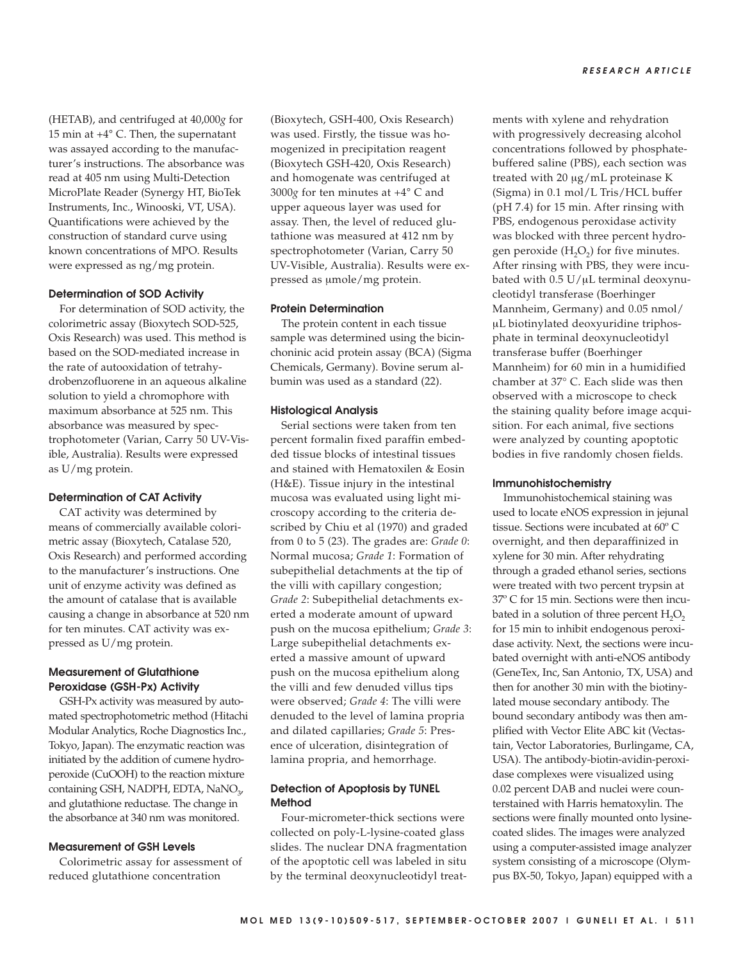(HETAB), and centrifuged at 40,000*g* for 15 min at +4° C. Then, the supernatant was assayed according to the manufacturer's instructions. The absorbance was read at 405 nm using Multi-Detection MicroPlate Reader (Synergy HT, BioTek Instruments, Inc., Winooski, VT, USA). Quantifications were achieved by the construction of standard curve using known concentrations of MPO. Results were expressed as ng/mg protein.

#### **Determination of SOD Activity**

For determination of SOD activity, the colorimetric assay (Bioxytech SOD-525, Oxis Research) was used. This method is based on the SOD-mediated increase in the rate of autooxidation of tetrahydrobenzofluorene in an aqueous alkaline solution to yield a chromophore with maximum absorbance at 525 nm. This absorbance was measured by spectrophotometer (Varian, Carry 50 UV-Visible, Australia). Results were expressed as U/mg protein.

#### **Determination of CAT Activity**

CAT activity was determined by means of commercially available colorimetric assay (Bioxytech, Catalase 520, Oxis Research) and performed according to the manufacturer's instructions. One unit of enzyme activity was defined as the amount of catalase that is available causing a change in absorbance at 520 nm for ten minutes. CAT activity was expressed as U/mg protein.

# **Measurement of Glutathione Peroxidase (GSH-Px) Activity**

GSH-Px activity was measured by automated spectrophotometric method (Hitachi Modular Analytics, Roche Diagnostics Inc., Tokyo, Japan). The enzymatic reaction was initiated by the addition of cumene hydroperoxide (CuOOH) to the reaction mixture containing GSH, NADPH, EDTA, NaNO<sub>2</sub>, and glutathione reductase. The change in the absorbance at 340 nm was monitored.

# **Measurement of GSH Levels**

Colorimetric assay for assessment of reduced glutathione concentration

(Bioxytech, GSH-400, Oxis Research) was used. Firstly, the tissue was homogenized in precipitation reagent (Bioxytech GSH-420, Oxis Research) and homogenate was centrifuged at  $3000g$  for ten minutes at  $+4^{\circ}$  C and upper aqueous layer was used for assay. Then, the level of reduced glutathione was measured at 412 nm by spectrophotometer (Varian, Carry 50 UV-Visible, Australia). Results were expressed as μmole/mg protein.

#### **Protein Determination**

The protein content in each tissue sample was determined using the bicinchoninic acid protein assay (BCA) (Sigma Chemicals, Germany). Bovine serum albumin was used as a standard (22).

#### **Histological Analysis**

Serial sections were taken from ten percent formalin fixed paraffin embedded tissue blocks of intestinal tissues and stained with Hematoxilen & Eosin (H&E). Tissue injury in the intestinal mucosa was evaluated using light microscopy according to the criteria described by Chiu et al (1970) and graded from 0 to 5 (23). The grades are: *Grade 0*: Normal mucosa; *Grade 1*: Formation of subepithelial detachments at the tip of the villi with capillary congestion; *Grade 2*: Subepithelial detachments exerted a moderate amount of upward push on the mucosa epithelium; *Grade 3*: Large subepithelial detachments exerted a massive amount of upward push on the mucosa epithelium along the villi and few denuded villus tips were observed; *Grade 4*: The villi were denuded to the level of lamina propria and dilated capillaries; *Grade 5*: Presence of ulceration, disintegration of lamina propria, and hemorrhage.

# **Detection of Apoptosis by TUNEL Method**

Four-micrometer-thick sections were collected on poly-L-lysine-coated glass slides. The nuclear DNA fragmentation of the apoptotic cell was labeled in situ by the terminal deoxynucleotidyl treatments with xylene and rehydration with progressively decreasing alcohol concentrations followed by phosphatebuffered saline (PBS), each section was treated with 20 μg/mL proteinase K (Sigma) in 0.1 mol/L Tris/HCL buffer (pH 7.4) for 15 min. After rinsing with PBS, endogenous peroxidase activity was blocked with three percent hydrogen peroxide  $(H<sub>2</sub>O<sub>2</sub>)$  for five minutes. After rinsing with PBS, they were incubated with 0.5 U/μL terminal deoxynucleotidyl transferase (Boerhinger Mannheim, Germany) and 0.05 nmol/ μL biotinylated deoxyuridine triphosphate in terminal deoxynucleotidyl transferase buffer (Boerhinger Mannheim) for 60 min in a humidified chamber at 37° C. Each slide was then observed with a microscope to check the staining quality before image acquisition. For each animal, five sections were analyzed by counting apoptotic bodies in five randomly chosen fields.

## **Immunohistochemistry**

Immunohistochemical staining was used to locate eNOS expression in jejunal tissue. Sections were incubated at 60º C overnight, and then deparaffinized in xylene for 30 min. After rehydrating through a graded ethanol series, sections were treated with two percent trypsin at 37º C for 15 min. Sections were then incubated in a solution of three percent  $H_2O_2$ for 15 min to inhibit endogenous peroxidase activity. Next, the sections were incubated overnight with anti-eNOS antibody (GeneTex, Inc, San Antonio, TX, USA) and then for another 30 min with the biotinylated mouse secondary antibody. The bound secondary antibody was then amplified with Vector Elite ABC kit (Vectastain, Vector Laboratories, Burlingame, CA, USA). The antibody-biotin-avidin-peroxidase complexes were visualized using 0.02 percent DAB and nuclei were counterstained with Harris hematoxylin. The sections were finally mounted onto lysinecoated slides. The images were analyzed using a computer-assisted image analyzer system consisting of a microscope (Olympus BX-50, Tokyo, Japan) equipped with a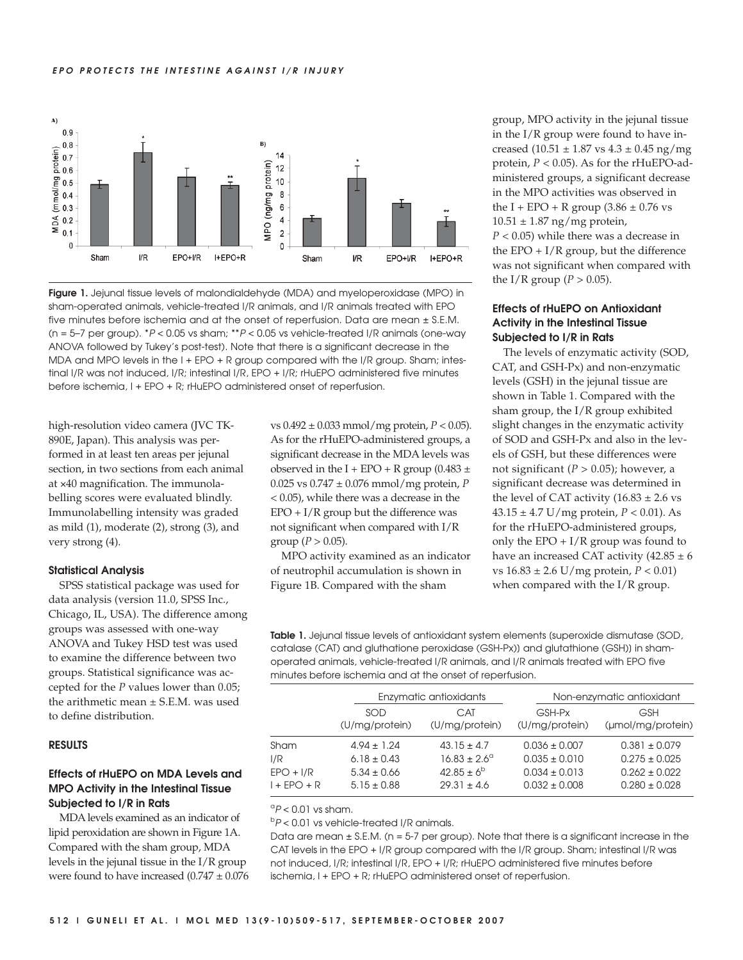

**Figure 1.** Jejunal tissue levels of malondialdehyde (MDA) and myeloperoxidase (MPO) in sham-operated animals, vehicle-treated I/R animals, and I/R animals treated with EPO five minutes before ischemia and at the onset of reperfusion. Data are mean ± S.E.M. (n =  $5-7$  per group).  $*P < 0.05$  vs sham;  $*P < 0.05$  vs vehicle-treated I/R animals (one-way ANOVA followed by Tukey's post-test). Note that there is a significant decrease in the MDA and MPO levels in the I + EPO + R group compared with the I/R group. Sham; intestinal I/R was not induced, I/R; intestinal I/R, EPO + I/R; rHuEPO administered five minutes before ischemia, I + EPO + R; rHuEPO administered onset of reperfusion.

high-resolution video camera (JVC TK-890E, Japan). This analysis was performed in at least ten areas per jejunal section, in two sections from each animal at ×40 magnification. The immunolabelling scores were evaluated blindly. Immunolabelling intensity was graded as mild (1), moderate (2), strong (3), and very strong (4).

#### **Statistical Analysis**

SPSS statistical package was used for data analysis (version 11.0, SPSS Inc., Chicago, IL, USA). The difference among groups was assessed with one-way ANOVA and Tukey HSD test was used to examine the difference between two groups. Statistical significance was accepted for the *P* values lower than 0.05; the arithmetic mean ± S.E.M. was used to define distribution.

#### **RESULTS**

# **Effects of rHuEPO on MDA Levels and MPO Activity in the Intestinal Tissue Subjected to I/R in Rats**

MDA levels examined as an indicator of lipid peroxidation are shown in Figure 1A. Compared with the sham group, MDA levels in the jejunal tissue in the I/R group were found to have increased  $(0.747 \pm 0.076)$  vs 0.492 ± 0.033 mmol/mg protein, *P* < 0.05). As for the rHuEPO-administered groups, a significant decrease in the MDA levels was observed in the I + EPO + R group (0.483  $\pm$ 0.025 vs 0.747 ± 0.076 mmol/mg protein, *P* < 0.05), while there was a decrease in the  $EPO + I/R$  group but the difference was not significant when compared with I/R group ( $P > 0.05$ ).

MPO activity examined as an indicator of neutrophil accumulation is shown in Figure 1B. Compared with the sham

group, MPO activity in the jejunal tissue in the I/R group were found to have increased  $(10.51 \pm 1.87 \text{ vs } 4.3 \pm 0.45 \text{ ng/mg})$ protein, *P* < 0.05). As for the rHuEPO-administered groups, a significant decrease in the MPO activities was observed in the I + EPO + R group  $(3.86 \pm 0.76 \text{ vs }$  $10.51 \pm 1.87$  ng/mg protein, *P* < 0.05) while there was a decrease in the EPO  $+ I/R$  group, but the difference was not significant when compared with the I/R group ( $P > 0.05$ ).

# **Effects of rHuEPO on Antioxidant Activity in the Intestinal Tissue Subjected to I/R in Rats**

The levels of enzymatic activity (SOD, CAT, and GSH-Px) and non-enzymatic levels (GSH) in the jejunal tissue are shown in Table 1. Compared with the sham group, the I/R group exhibited slight changes in the enzymatic activity of SOD and GSH-Px and also in the levels of GSH, but these differences were not significant (*P* > 0.05); however, a significant decrease was determined in the level of CAT activity  $(16.83 \pm 2.6 \text{ vs }$ 43.15 ± 4.7 U/mg protein, *P* < 0.01). As for the rHuEPO-administered groups, only the EPO  $+ I/R$  group was found to have an increased CAT activity  $(42.85 \pm 6)$ vs 16.83 ± 2.6 U/mg protein, *P* < 0.01) when compared with the I/R group.

**Table 1.** Jejunal tissue levels of antioxidant system elements (superoxide dismutase (SOD, catalase (CAT) and gluthatione peroxidase (GSH-Px)] and glutathione (GSH)] in shamoperated animals, vehicle-treated I/R animals, and I/R animals treated with EPO five minutes before ischemia and at the onset of reperfusion.

|                    | Enzymatic antioxidants             |                                              | Non-enzymatic antioxidant              |                                        |
|--------------------|------------------------------------|----------------------------------------------|----------------------------------------|----------------------------------------|
|                    | SOD<br>(U/mg/protein)              | CAT<br>(U/mg/protein)                        | GSH-Px<br>(U/mg/protein)               | <b>GSH</b><br>(µmol/mg/protein)        |
| Sham               | $4.94 \pm 1.24$                    | $43.15 \pm 4.7$                              | $0.036 \pm 0.007$                      | $0.381 \pm 0.079$                      |
| 1/R<br>$EPO + I/R$ | $6.18 \pm 0.43$<br>$5.34 \pm 0.66$ | $16.83 \pm 2.6^{\circ}$<br>$42.85 \pm 6^{b}$ | $0.035 \pm 0.010$<br>$0.034 \pm 0.013$ | $0.275 \pm 0.025$<br>$0.262 \pm 0.022$ |
| $1 + EPO + R$      | $5.15 \pm 0.88$                    | $29.31 \pm 4.6$                              | $0.032 \pm 0.008$                      | $0.280 \pm 0.028$                      |

 ${}^{\circ}P$  < 0.01 vs sham.

 $bP < 0.01$  vs vehicle-treated I/R animals.

Data are mean  $\pm$  S.E.M. (n = 5-7 per group). Note that there is a significant increase in the CAT levels in the EPO + I/R group compared with the I/R group. Sham; intestinal I/R was not induced, I/R; intestinal I/R, EPO + I/R; rHuEPO administered five minutes before ischemia, I + EPO + R; rHuEPO administered onset of reperfusion.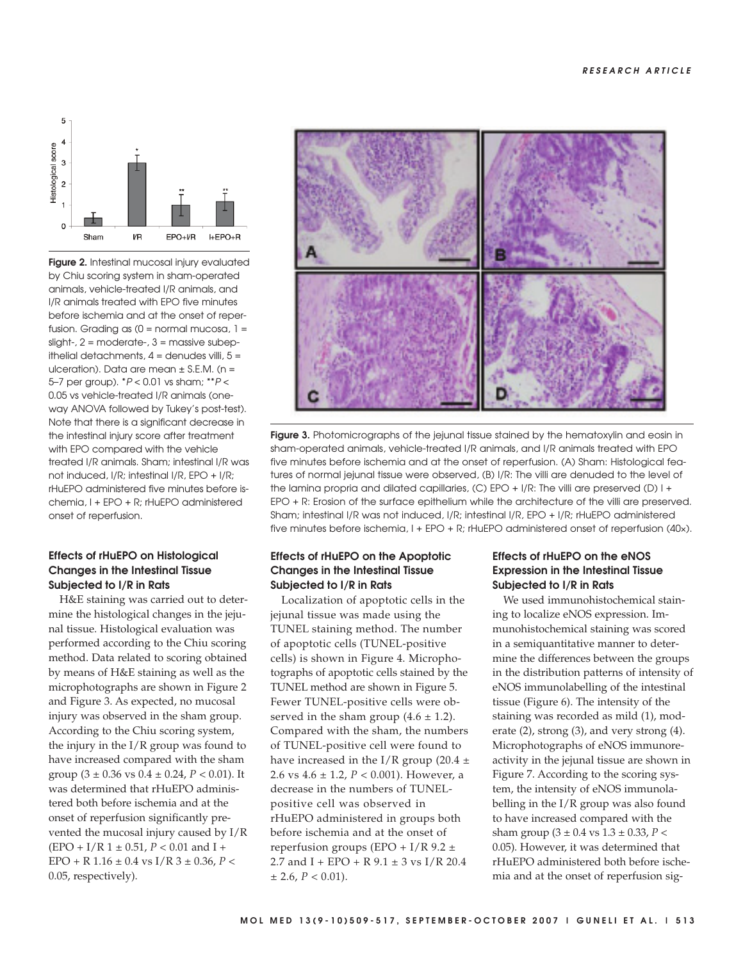

**Figure 2.** Intestinal mucosal injury evaluated by Chiu scoring system in sham-operated animals, vehicle-treated I/R animals, and I/R animals treated with EPO five minutes before ischemia and at the onset of reperfusion. Grading as  $(0 = normal mucosa, 1 =$ slight-, 2 = moderate-, 3 = massive subepithelial detachments,  $4 =$  denudes villi,  $5 =$ ulceration). Data are mean ± S.E.M. (n = 5–7 per group).  $*P < 0.01$  vs sham;  $**P <$ 0.05 vs vehicle-treated I/R animals (oneway ANOVA followed by Tukey's post-test). Note that there is a significant decrease in the intestinal injury score after treatment with EPO compared with the vehicle treated I/R animals. Sham; intestinal I/R was not induced, I/R; intestinal I/R, EPO + I/R; rHuEPO administered five minutes before ischemia, I + EPO + R; rHuEPO administered onset of reperfusion.

# **Effects of rHuEPO on Histological Changes in the Intestinal Tissue Subjected to I/R in Rats**

H&E staining was carried out to determine the histological changes in the jejunal tissue. Histological evaluation was performed according to the Chiu scoring method. Data related to scoring obtained by means of H&E staining as well as the microphotographs are shown in Figure 2 and Figure 3. As expected, no mucosal injury was observed in the sham group. According to the Chiu scoring system, the injury in the I/R group was found to have increased compared with the sham group (3 ± 0.36 vs 0.4 ± 0.24, *P* < 0.01). It was determined that rHuEPO administered both before ischemia and at the onset of reperfusion significantly prevented the mucosal injury caused by I/R (EPO + I/R 1 ± 0.51, *P* < 0.01 and I + EPO + R 1.16 ± 0.4 vs I/R 3 ± 0.36, *P* < 0.05, respectively).



**Figure 3.** Photomicrographs of the jejunal tissue stained by the hematoxylin and eosin in sham-operated animals, vehicle-treated I/R animals, and I/R animals treated with EPO five minutes before ischemia and at the onset of reperfusion. (A) Sham: Histological features of normal jejunal tissue were observed, (B) I/R: The villi are denuded to the level of the lamina propria and dilated capillaries, (C) EPO + I/R: The villi are preserved (D) I + EPO + R: Erosion of the surface epithelium while the architecture of the villi are preserved. Sham; intestinal I/R was not induced, I/R; intestinal I/R, EPO + I/R; rHuEPO administered five minutes before ischemia, I + EPO + R; rHuEPO administered onset of reperfusion (40×).

# **Effects of rHuEPO on the Apoptotic Changes in the Intestinal Tissue Subjected to I/R in Rats**

Localization of apoptotic cells in the jejunal tissue was made using the TUNEL staining method. The number of apoptotic cells (TUNEL-positive cells) is shown in Figure 4. Microphotographs of apoptotic cells stained by the TUNEL method are shown in Figure 5. Fewer TUNEL-positive cells were observed in the sham group  $(4.6 \pm 1.2)$ . Compared with the sham, the numbers of TUNEL-positive cell were found to have increased in the I/R group (20.4  $\pm$ 2.6 vs 4.6 ± 1.2, *P* < 0.001). However, a decrease in the numbers of TUNELpositive cell was observed in rHuEPO administered in groups both before ischemia and at the onset of reperfusion groups (EPO +  $I/R$  9.2  $\pm$ 2.7 and I + EPO + R  $9.1 \pm 3$  vs I/R 20.4  $\pm$  2.6,  $P < 0.01$ ).

# **Effects of rHuEPO on the eNOS Expression in the Intestinal Tissue Subjected to I/R in Rats**

We used immunohistochemical staining to localize eNOS expression. Immunohistochemical staining was scored in a semiquantitative manner to determine the differences between the groups in the distribution patterns of intensity of eNOS immunolabelling of the intestinal tissue (Figure 6). The intensity of the staining was recorded as mild (1), moderate (2), strong (3), and very strong (4). Microphotographs of eNOS immunoreactivity in the jejunal tissue are shown in Figure 7. According to the scoring system, the intensity of eNOS immunolabelling in the I/R group was also found to have increased compared with the sham group (3 ± 0.4 vs 1.3 ± 0.33, *P* < 0.05). However, it was determined that rHuEPO administered both before ischemia and at the onset of reperfusion sig-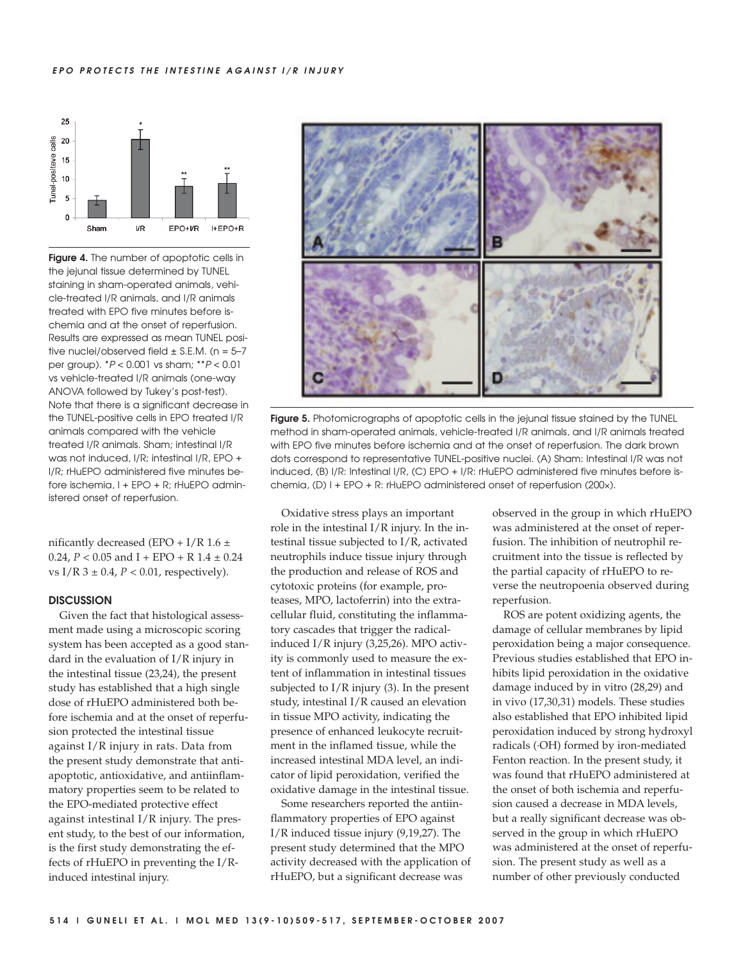#### **EPO PROTECTS THE INTESTINE AGAINST I/R INJURY**



**Figure 4.** The number of apoptotic cells in the jejunal tissue determined by TUNEL staining in sham-operated animals, vehicle-treated I/R animals, and I/R animals treated with EPO five minutes before ischemia and at the onset of reperfusion. Results are expressed as mean TUNEL positive nuclei/observed field  $\pm$  S.E.M. (n = 5-7 per group). \*P < 0.001 vs sham; \*\*P < 0.01 vs vehicle-treated I/R animals (one-way ANOVA followed by Tukey's post-test). Note that there is a significant decrease in the TUNEL-positive cells in EPO treated I/R animals compared with the vehicle treated I/R animals. Sham; intestinal I/R was not induced, I/R; intestinal I/R, EPO + I/R; rHuEPO administered five minutes before ischemia, I + EPO + R; rHuEPO administered onset of reperfusion.

nificantly decreased (EPO + I/R  $1.6 \pm$ 0.24,  $P < 0.05$  and I + EPO + R 1.4  $\pm$  0.24 vs  $I/R$  3  $\pm$  0.4,  $P$  < 0.01, respectively).

## **DISCUSSION**

Given the fact that histological assessment made using a microscopic scoring system has been accepted as a good standard in the evaluation of I/R injury in the intestinal tissue (23,24), the present study has established that a high single dose of rHuEPO administered both before ischemia and at the onset of reperfusion protected the intestinal tissue against I/R injury in rats. Data from the present study demonstrate that antiapoptotic, antioxidative, and antiinflammatory properties seem to be related to the EPO-mediated protective effect against intestinal I/R injury. The present study, to the best of our information, is the first study demonstrating the effects of rHuEPO in preventing the I/Rinduced intestinal injury.



**Figure 5.** Photomicrographs of apoptotic cells in the jejunal tissue stained by the TUNEL method in sham-operated animals, vehicle-treated I/R animals, and I/R animals treated with EPO five minutes before ischemia and at the onset of reperfusion. The dark brown dots correspond to representative TUNEL-positive nuclei. (A) Sham: Intestinal I/R was not induced, (B) I/R: Intestinal I/R, (C) EPO + I/R: rHuEPO administered five minutes before ischemia, (D) I + EPO + R: rHuEPO administered onset of reperfusion (200×).

Oxidative stress plays an important role in the intestinal I/R injury. In the intestinal tissue subjected to I/R, activated neutrophils induce tissue injury through the production and release of ROS and cytotoxic proteins (for example, proteases, MPO, lactoferrin) into the extracellular fluid, constituting the inflammatory cascades that trigger the radicalinduced I/R injury (3,25,26). MPO activity is commonly used to measure the extent of inflammation in intestinal tissues subjected to I/R injury (3). In the present study, intestinal I/R caused an elevation in tissue MPO activity, indicating the presence of enhanced leukocyte recruitment in the inflamed tissue, while the increased intestinal MDA level, an indicator of lipid peroxidation, verified the oxidative damage in the intestinal tissue.

Some researchers reported the antiinflammatory properties of EPO against I/R induced tissue injury (9,19,27). The present study determined that the MPO activity decreased with the application of rHuEPO, but a significant decrease was

observed in the group in which rHuEPO was administered at the onset of reperfusion. The inhibition of neutrophil recruitment into the tissue is reflected by the partial capacity of rHuEPO to reverse the neutropoenia observed during reperfusion.

ROS are potent oxidizing agents, the damage of cellular membranes by lipid peroxidation being a major consequence. Previous studies established that EPO inhibits lipid peroxidation in the oxidative damage induced by in vitro (28,29) and in vivo (17,30,31) models. These studies also established that EPO inhibited lipid peroxidation induced by strong hydroxyl radicals (·OH) formed by iron-mediated Fenton reaction. In the present study, it was found that rHuEPO administered at the onset of both ischemia and reperfusion caused a decrease in MDA levels, but a really significant decrease was observed in the group in which rHuEPO was administered at the onset of reperfusion. The present study as well as a number of other previously conducted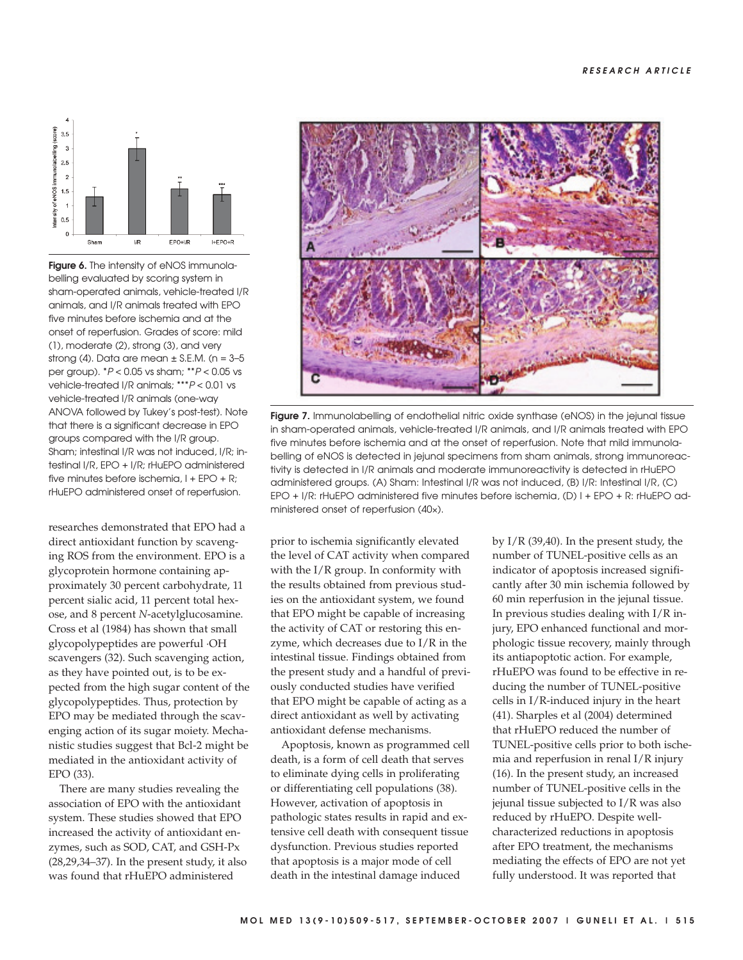

**Figure 6.** The intensity of eNOS immunolabelling evaluated by scoring system in sham-operated animals, vehicle-treated I/R animals, and I/R animals treated with EPO five minutes before ischemia and at the onset of reperfusion. Grades of score: mild (1), moderate (2), strong (3), and very strong (4). Data are mean  $\pm$  S.E.M. (n = 3-5 per group). \*P < 0.05 vs sham; \*\*P < 0.05 vs vehicle-treated I/R animals; \*\*\*P < 0.01 vs vehicle-treated I/R animals (one-way ANOVA followed by Tukey's post-test). Note that there is a significant decrease in EPO groups compared with the I/R group. Sham; intestinal I/R was not induced, I/R; intestinal I/R, EPO + I/R; rHuEPO administered five minutes before ischemia, I + EPO + R; rHuEPO administered onset of reperfusion.

researches demonstrated that EPO had a direct antioxidant function by scavenging ROS from the environment. EPO is a glycoprotein hormone containing approximately 30 percent carbohydrate, 11 percent sialic acid, 11 percent total hexose, and 8 percent *N*-acetylglucosamine. Cross et al (1984) has shown that small glycopolypeptides are powerful ·OH scavengers (32). Such scavenging action, as they have pointed out, is to be expected from the high sugar content of the glycopolypeptides. Thus, protection by EPO may be mediated through the scavenging action of its sugar moiety. Mechanistic studies suggest that Bcl-2 might be mediated in the antioxidant activity of EPO (33).

There are many studies revealing the association of EPO with the antioxidant system. These studies showed that EPO increased the activity of antioxidant enzymes, such as SOD, CAT, and GSH-Px (28,29,34–37). In the present study, it also was found that rHuEPO administered



Figure 7. Immunolabelling of endothelial nitric oxide synthase (eNOS) in the jejunal tissue in sham-operated animals, vehicle-treated I/R animals, and I/R animals treated with EPO five minutes before ischemia and at the onset of reperfusion. Note that mild immunolabelling of eNOS is detected in jejunal specimens from sham animals, strong immunoreactivity is detected in I/R animals and moderate immunoreactivity is detected in rHuEPO administered groups. (A) Sham: Intestinal I/R was not induced, (B) I/R: Intestinal I/R, (C) EPO + I/R: rHuEPO administered five minutes before ischemia, (D) I + EPO + R: rHuEPO administered onset of reperfusion (40×).

prior to ischemia significantly elevated the level of CAT activity when compared with the I/R group. In conformity with the results obtained from previous studies on the antioxidant system, we found that EPO might be capable of increasing the activity of CAT or restoring this enzyme, which decreases due to I/R in the intestinal tissue. Findings obtained from the present study and a handful of previously conducted studies have verified that EPO might be capable of acting as a direct antioxidant as well by activating antioxidant defense mechanisms.

Apoptosis, known as programmed cell death, is a form of cell death that serves to eliminate dying cells in proliferating or differentiating cell populations (38). However, activation of apoptosis in pathologic states results in rapid and extensive cell death with consequent tissue dysfunction. Previous studies reported that apoptosis is a major mode of cell death in the intestinal damage induced

by I/R (39,40). In the present study, the number of TUNEL-positive cells as an indicator of apoptosis increased significantly after 30 min ischemia followed by 60 min reperfusion in the jejunal tissue. In previous studies dealing with I/R injury, EPO enhanced functional and morphologic tissue recovery, mainly through its antiapoptotic action. For example, rHuEPO was found to be effective in reducing the number of TUNEL-positive cells in I/R-induced injury in the heart (41). Sharples et al (2004) determined that rHuEPO reduced the number of TUNEL-positive cells prior to both ischemia and reperfusion in renal I/R injury (16). In the present study, an increased number of TUNEL-positive cells in the jejunal tissue subjected to I/R was also reduced by rHuEPO. Despite wellcharacterized reductions in apoptosis after EPO treatment, the mechanisms mediating the effects of EPO are not yet fully understood. It was reported that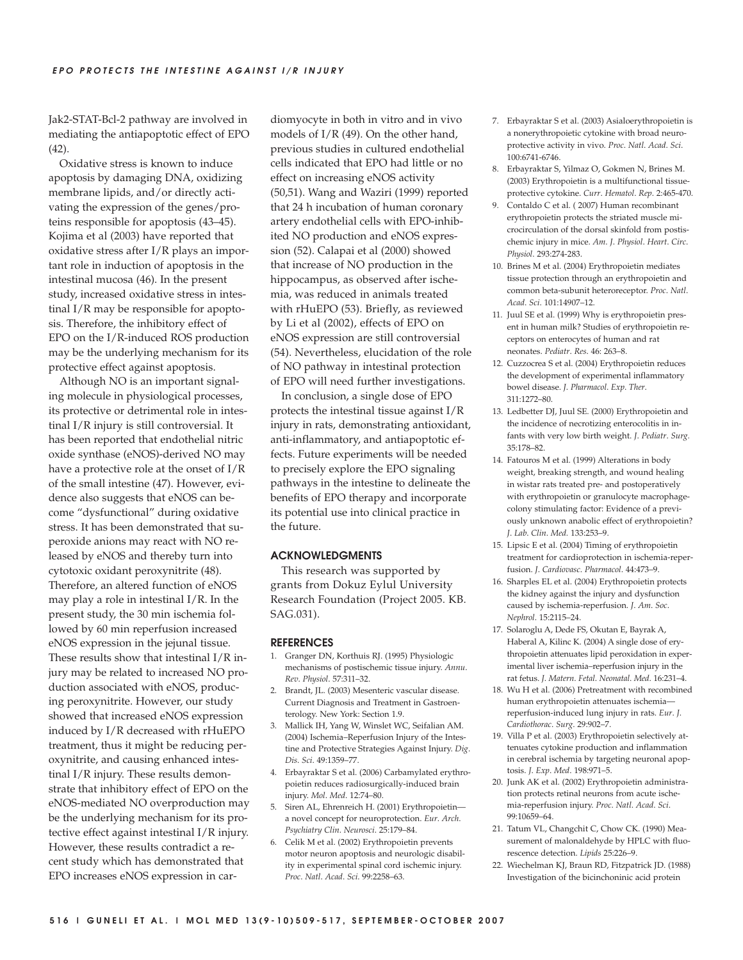Jak2-STAT-Bcl-2 pathway are involved in mediating the antiapoptotic effect of EPO (42).

Oxidative stress is known to induce apoptosis by damaging DNA, oxidizing membrane lipids, and/or directly activating the expression of the genes/proteins responsible for apoptosis (43–45). Kojima et al (2003) have reported that oxidative stress after I/R plays an important role in induction of apoptosis in the intestinal mucosa (46). In the present study, increased oxidative stress in intestinal I/R may be responsible for apoptosis. Therefore, the inhibitory effect of EPO on the I/R-induced ROS production may be the underlying mechanism for its protective effect against apoptosis.

Although NO is an important signaling molecule in physiological processes, its protective or detrimental role in intestinal I/R injury is still controversial. It has been reported that endothelial nitric oxide synthase (eNOS)-derived NO may have a protective role at the onset of I/R of the small intestine (47). However, evidence also suggests that eNOS can become "dysfunctional" during oxidative stress. It has been demonstrated that superoxide anions may react with NO released by eNOS and thereby turn into cytotoxic oxidant peroxynitrite (48). Therefore, an altered function of eNOS may play a role in intestinal I/R. In the present study, the 30 min ischemia followed by 60 min reperfusion increased eNOS expression in the jejunal tissue. These results show that intestinal I/R injury may be related to increased NO production associated with eNOS, producing peroxynitrite. However, our study showed that increased eNOS expression induced by I/R decreased with rHuEPO treatment, thus it might be reducing peroxynitrite, and causing enhanced intestinal I/R injury. These results demonstrate that inhibitory effect of EPO on the eNOS-mediated NO overproduction may be the underlying mechanism for its protective effect against intestinal I/R injury. However, these results contradict a recent study which has demonstrated that EPO increases eNOS expression in cardiomyocyte in both in vitro and in vivo models of I/R (49). On the other hand, previous studies in cultured endothelial cells indicated that EPO had little or no effect on increasing eNOS activity (50,51). Wang and Waziri (1999) reported that 24 h incubation of human coronary artery endothelial cells with EPO-inhibited NO production and eNOS expression (52). Calapai et al (2000) showed that increase of NO production in the hippocampus, as observed after ischemia, was reduced in animals treated with rHuEPO (53). Briefly, as reviewed by Li et al (2002), effects of EPO on eNOS expression are still controversial (54). Nevertheless, elucidation of the role of NO pathway in intestinal protection of EPO will need further investigations.

In conclusion, a single dose of EPO protects the intestinal tissue against I/R injury in rats, demonstrating antioxidant, anti-inflammatory, and antiapoptotic effects. Future experiments will be needed to precisely explore the EPO signaling pathways in the intestine to delineate the benefits of EPO therapy and incorporate its potential use into clinical practice in the future.

#### **ACKNOWLEDGMENTS**

This research was supported by grants from Dokuz Eylul University Research Foundation (Project 2005. KB. SAG.031).

#### **REFERENCES**

- 1. Granger DN, Korthuis RJ. (1995) Physiologic mechanisms of postischemic tissue injury. *Annu*. *Rev*. *Physiol*. 57:311–32.
- 2. Brandt, JL. (2003) Mesenteric vascular disease. Current Diagnosis and Treatment in Gastroenterology. New York: Section 1.9.
- 3. Mallick IH, Yang W, Winslet WC, Seifalian AM. (2004) Ischemia–Reperfusion Injury of the Intestine and Protective Strategies Against Injury. *Dig*. *Dis*. *Sci*. 49:1359–77.
- 4. Erbayraktar S et al. (2006) Carbamylated erythropoietin reduces radiosurgically-induced brain injury. *Mol*. *Med*. 12:74–80.
- 5. Siren AL, Ehrenreich H. (2001) Erythropoietin a novel concept for neuroprotection. *Eur*. *Arch*. *Psychiatry Clin*. *Neurosci*. 25:179–84.
- 6. Celik M et al. (2002) Erythropoietin prevents motor neuron apoptosis and neurologic disability in experimental spinal cord ischemic injury. *Proc*. *Natl*. *Acad*. *Sci*. 99:2258–63.
- 7. Erbayraktar S et al. (2003) Asialoerythropoietin is a nonerythropoietic cytokine with broad neuroprotective activity in vivo. *Proc*. *Natl*. *Acad*. *Sci*. 100:6741-6746.
- 8. Erbayraktar S, Yilmaz O, Gokmen N, Brines M. (2003) Erythropoietin is a multifunctional tissueprotective cytokine. *Curr*. *Hematol*. *Rep*. 2:465-470.
- 9. Contaldo C et al. ( 2007) Human recombinant erythropoietin protects the striated muscle microcirculation of the dorsal skinfold from postischemic injury in mice. *Am*. *J*. *Physiol*. *Heart*. *Circ*. *Physiol*. 293:274-283.
- 10. Brines M et al. (2004) Erythropoietin mediates tissue protection through an erythropoietin and common beta-subunit heteroreceptor. *Proc*. *Natl*. *Acad*. *Sci*. 101:14907–12.
- 11. Juul SE et al. (1999) Why is erythropoietin present in human milk? Studies of erythropoietin receptors on enterocytes of human and rat neonates. *Pediatr*. *Res*. 46: 263–8.
- 12. Cuzzocrea S et al. (2004) Erythropoietin reduces the development of experimental inflammatory bowel disease. *J*. *Pharmacol*. *Exp*. *Ther*. 311:1272–80.
- 13. Ledbetter DJ, Juul SE. (2000) Erythropoietin and the incidence of necrotizing enterocolitis in infants with very low birth weight. *J*. *Pediatr*. *Surg.* 35:178–82.
- 14. Fatouros M et al. (1999) Alterations in body weight, breaking strength, and wound healing in wistar rats treated pre- and postoperatively with erythropoietin or granulocyte macrophagecolony stimulating factor: Evidence of a previously unknown anabolic effect of erythropoietin? *J*. *Lab*. *Clin*. *Med.* 133:253–9.
- 15. Lipsic E et al. (2004) Timing of erythropoietin treatment for cardioprotection in ischemia-reperfusion. *J*. *Cardiovasc*. *Pharmacol*. 44:473–9.
- 16. Sharples EL et al. (2004) Erythropoietin protects the kidney against the injury and dysfunction caused by ischemia-reperfusion. *J*. *Am*. *Soc*. *Nephrol*. 15:2115–24.
- 17. Solaroglu A, Dede FS, Okutan E, Bayrak A, Haberal A, Kilinc K. (2004) A single dose of erythropoietin attenuates lipid peroxidation in experimental liver ischemia–reperfusion injury in the rat fetus. *J*. *Matern*. *Fetal*. *Neonatal*. *Med*. 16:231–4.
- 18. Wu H et al. (2006) Pretreatment with recombined human erythropoietin attenuates ischemia reperfusion-induced lung injury in rats. *Eur*. *J*. *Cardiothorac*. *Surg*. 29:902–7.
- 19. Villa P et al. (2003) Erythropoietin selectively attenuates cytokine production and inflammation in cerebral ischemia by targeting neuronal apoptosis. *J*. *Exp*. *Med*. 198:971–5.
- 20. Junk AK et al. (2002) Erythropoietin administration protects retinal neurons from acute ischemia-reperfusion injury. *Proc*. *Natl*. *Acad*. *Sci*. 99:10659–64.
- 21. Tatum VL, Changchit C, Chow CK. (1990) Measurement of malonaldehyde by HPLC with fluorescence detection. *Lipids* 25:226–9.
- 22. Wiechelman KJ, Braun RD, Fitzpatrick JD. (1988) Investigation of the bicinchoninic acid protein